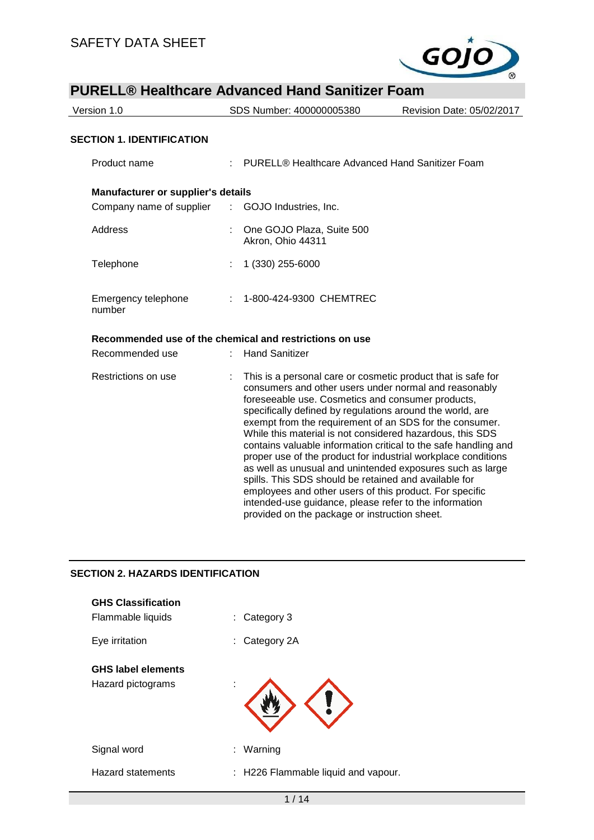

| Version 1.0                                      | SDS Number: 400000005380                                                                                                                                                                                                                                                                                                                                                                                                                                                                                                                                                                                                                                                                                                                       | Revision Date: 05/02/2017 |
|--------------------------------------------------|------------------------------------------------------------------------------------------------------------------------------------------------------------------------------------------------------------------------------------------------------------------------------------------------------------------------------------------------------------------------------------------------------------------------------------------------------------------------------------------------------------------------------------------------------------------------------------------------------------------------------------------------------------------------------------------------------------------------------------------------|---------------------------|
| <b>SECTION 1. IDENTIFICATION</b>                 |                                                                                                                                                                                                                                                                                                                                                                                                                                                                                                                                                                                                                                                                                                                                                |                           |
| Product name                                     | PURELL® Healthcare Advanced Hand Sanitizer Foam                                                                                                                                                                                                                                                                                                                                                                                                                                                                                                                                                                                                                                                                                                |                           |
| <b>Manufacturer or supplier's details</b>        |                                                                                                                                                                                                                                                                                                                                                                                                                                                                                                                                                                                                                                                                                                                                                |                           |
| Company name of supplier : GOJO Industries, Inc. |                                                                                                                                                                                                                                                                                                                                                                                                                                                                                                                                                                                                                                                                                                                                                |                           |
| Address                                          | One GOJO Plaza, Suite 500<br>Akron, Ohio 44311                                                                                                                                                                                                                                                                                                                                                                                                                                                                                                                                                                                                                                                                                                 |                           |
| Telephone                                        | 1 (330) 255-6000                                                                                                                                                                                                                                                                                                                                                                                                                                                                                                                                                                                                                                                                                                                               |                           |
| Emergency telephone<br>number                    | 1-800-424-9300 CHEMTREC                                                                                                                                                                                                                                                                                                                                                                                                                                                                                                                                                                                                                                                                                                                        |                           |
|                                                  | Recommended use of the chemical and restrictions on use                                                                                                                                                                                                                                                                                                                                                                                                                                                                                                                                                                                                                                                                                        |                           |
| Recommended use                                  | <b>Hand Sanitizer</b>                                                                                                                                                                                                                                                                                                                                                                                                                                                                                                                                                                                                                                                                                                                          |                           |
| Restrictions on use                              | This is a personal care or cosmetic product that is safe for<br>consumers and other users under normal and reasonably<br>foreseeable use. Cosmetics and consumer products,<br>specifically defined by regulations around the world, are<br>exempt from the requirement of an SDS for the consumer.<br>While this material is not considered hazardous, this SDS<br>contains valuable information critical to the safe handling and<br>proper use of the product for industrial workplace conditions<br>as well as unusual and unintended exposures such as large<br>spills. This SDS should be retained and available for<br>employees and other users of this product. For specific<br>intended-use guidance, please refer to the information |                           |

provided on the package or instruction sheet.

### **SECTION 2. HAZARDS IDENTIFICATION**

| <b>GHS Classification</b><br>Flammable liquids | Category 3<br>t.                    |
|------------------------------------------------|-------------------------------------|
| Eye irritation                                 | Category 2A<br>÷.                   |
| <b>GHS label elements</b><br>Hazard pictograms |                                     |
| Signal word                                    | Warning<br>÷.                       |
| <b>Hazard statements</b>                       | : H226 Flammable liquid and vapour. |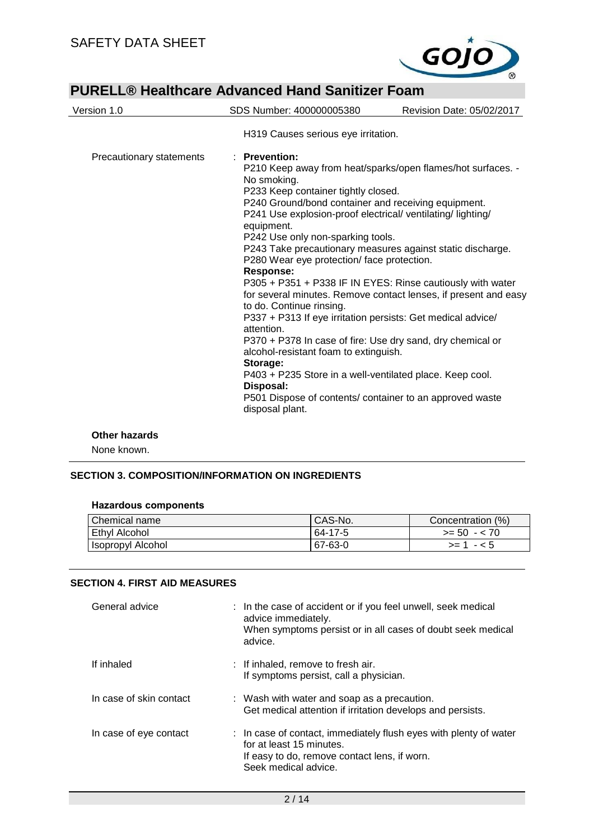

| Version 1.0              | SDS Number: 400000005380                                                                                                                                                                                                                                                                                                                                                                                                                                                                                                                                                                                                                                                                                                                                                                                                                                                                                                                                       | Revision Date: 05/02/2017 |
|--------------------------|----------------------------------------------------------------------------------------------------------------------------------------------------------------------------------------------------------------------------------------------------------------------------------------------------------------------------------------------------------------------------------------------------------------------------------------------------------------------------------------------------------------------------------------------------------------------------------------------------------------------------------------------------------------------------------------------------------------------------------------------------------------------------------------------------------------------------------------------------------------------------------------------------------------------------------------------------------------|---------------------------|
|                          | H319 Causes serious eye irritation.                                                                                                                                                                                                                                                                                                                                                                                                                                                                                                                                                                                                                                                                                                                                                                                                                                                                                                                            |                           |
| Precautionary statements | · Prevention:<br>P210 Keep away from heat/sparks/open flames/hot surfaces. -<br>No smoking.<br>P233 Keep container tightly closed.<br>P240 Ground/bond container and receiving equipment.<br>P241 Use explosion-proof electrical/ventilating/lighting/<br>equipment.<br>P242 Use only non-sparking tools.<br>P243 Take precautionary measures against static discharge.<br>P280 Wear eye protection/ face protection.<br><b>Response:</b><br>P305 + P351 + P338 IF IN EYES: Rinse cautiously with water<br>for several minutes. Remove contact lenses, if present and easy<br>to do. Continue rinsing.<br>P337 + P313 If eye irritation persists: Get medical advice/<br>attention.<br>P370 + P378 In case of fire: Use dry sand, dry chemical or<br>alcohol-resistant foam to extinguish.<br>Storage:<br>P403 + P235 Store in a well-ventilated place. Keep cool.<br>Disposal:<br>P501 Dispose of contents/ container to an approved waste<br>disposal plant. |                           |

#### **Other hazards**

None known.

# **SECTION 3. COMPOSITION/INFORMATION ON INGREDIENTS**

| Chemical name     | CAS-No. | Concentration (%) |
|-------------------|---------|-------------------|
| Ethyl Alcohol     | 64-17-5 | $>= 50 - 70$      |
| Isopropyl Alcohol | 67-63-0 | $- 5$<br>$>= 1$   |

#### **SECTION 4. FIRST AID MEASURES**

| General advice          | : In the case of accident or if you feel unwell, seek medical<br>advice immediately.<br>When symptoms persist or in all cases of doubt seek medical<br>advice.        |  |
|-------------------------|-----------------------------------------------------------------------------------------------------------------------------------------------------------------------|--|
| If inhaled              | : If inhaled, remove to fresh air.<br>If symptoms persist, call a physician.                                                                                          |  |
| In case of skin contact | : Wash with water and soap as a precaution.<br>Get medical attention if irritation develops and persists.                                                             |  |
| In case of eye contact  | : In case of contact, immediately flush eyes with plenty of water<br>for at least 15 minutes.<br>If easy to do, remove contact lens, if worn.<br>Seek medical advice. |  |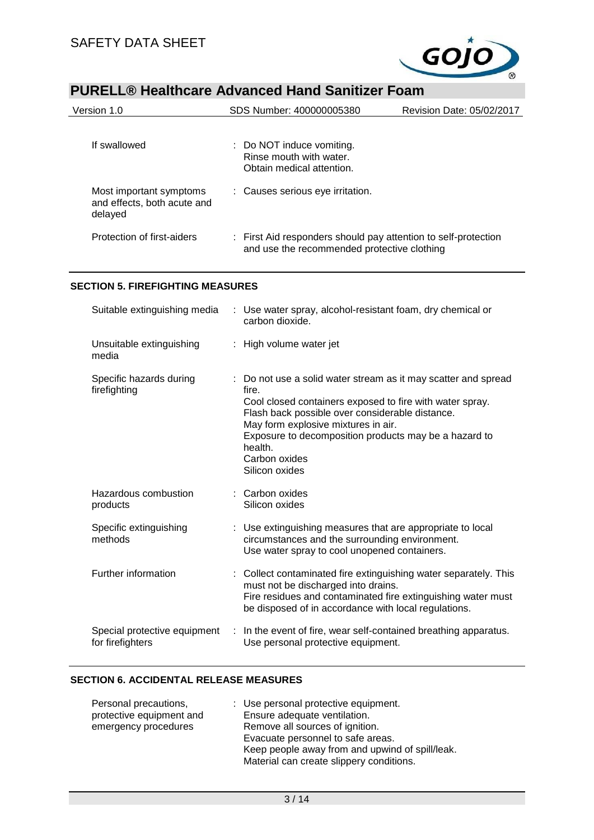

| Version 1.0                                                       | SDS Number: 400000005380                                                                                      | Revision Date: 05/02/2017 |  |
|-------------------------------------------------------------------|---------------------------------------------------------------------------------------------------------------|---------------------------|--|
| If swallowed                                                      | : Do NOT induce vomiting.<br>Rinse mouth with water.<br>Obtain medical attention.                             |                           |  |
| Most important symptoms<br>and effects, both acute and<br>delayed | : Causes serious eye irritation.                                                                              |                           |  |
| Protection of first-aiders                                        | : First Aid responders should pay attention to self-protection<br>and use the recommended protective clothing |                           |  |

## **SECTION 5. FIREFIGHTING MEASURES**

| Suitable extinguishing media                     | : Use water spray, alcohol-resistant foam, dry chemical or<br>carbon dioxide.                                                                                                                                                                                                                                                        |
|--------------------------------------------------|--------------------------------------------------------------------------------------------------------------------------------------------------------------------------------------------------------------------------------------------------------------------------------------------------------------------------------------|
| Unsuitable extinguishing<br>media                | : High volume water jet                                                                                                                                                                                                                                                                                                              |
| Specific hazards during<br>firefighting          | : Do not use a solid water stream as it may scatter and spread<br>fire.<br>Cool closed containers exposed to fire with water spray.<br>Flash back possible over considerable distance.<br>May form explosive mixtures in air.<br>Exposure to decomposition products may be a hazard to<br>health.<br>Carbon oxides<br>Silicon oxides |
| Hazardous combustion<br>products                 | : Carbon oxides<br>Silicon oxides                                                                                                                                                                                                                                                                                                    |
| Specific extinguishing<br>methods                | : Use extinguishing measures that are appropriate to local<br>circumstances and the surrounding environment.<br>Use water spray to cool unopened containers.                                                                                                                                                                         |
| Further information                              | : Collect contaminated fire extinguishing water separately. This<br>must not be discharged into drains.<br>Fire residues and contaminated fire extinguishing water must<br>be disposed of in accordance with local regulations.                                                                                                      |
| Special protective equipment<br>for firefighters | In the event of fire, wear self-contained breathing apparatus.<br>Use personal protective equipment.                                                                                                                                                                                                                                 |

### **SECTION 6. ACCIDENTAL RELEASE MEASURES**

| Personal precautions,    | : Use personal protective equipment.            |
|--------------------------|-------------------------------------------------|
| protective equipment and | Ensure adequate ventilation.                    |
| emergency procedures     | Remove all sources of ignition.                 |
|                          | Evacuate personnel to safe areas.               |
|                          | Keep people away from and upwind of spill/leak. |
|                          | Material can create slippery conditions.        |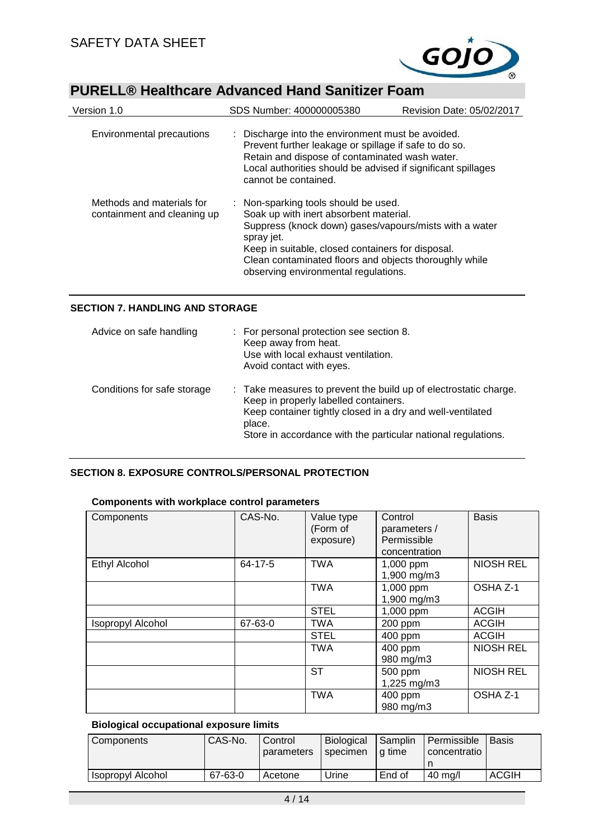

| Version 1.0                                              | SDS Number: 400000005380                                                                                                                                                                                                                                                                                      | Revision Date: 05/02/2017 |
|----------------------------------------------------------|---------------------------------------------------------------------------------------------------------------------------------------------------------------------------------------------------------------------------------------------------------------------------------------------------------------|---------------------------|
| Environmental precautions                                | : Discharge into the environment must be avoided.<br>Prevent further leakage or spillage if safe to do so.<br>Retain and dispose of contaminated wash water.<br>Local authorities should be advised if significant spillages<br>cannot be contained.                                                          |                           |
| Methods and materials for<br>containment and cleaning up | : Non-sparking tools should be used.<br>Soak up with inert absorbent material.<br>Suppress (knock down) gases/vapours/mists with a water<br>spray jet.<br>Keep in suitable, closed containers for disposal.<br>Clean contaminated floors and objects thoroughly while<br>observing environmental regulations. |                           |

## **SECTION 7. HANDLING AND STORAGE**

| Advice on safe handling     | : For personal protection see section 8.<br>Keep away from heat.<br>Use with local exhaust ventilation.<br>Avoid contact with eyes.                                                                                                                |
|-----------------------------|----------------------------------------------------------------------------------------------------------------------------------------------------------------------------------------------------------------------------------------------------|
| Conditions for safe storage | : Take measures to prevent the build up of electrostatic charge.<br>Keep in properly labelled containers.<br>Keep container tightly closed in a dry and well-ventilated<br>place.<br>Store in accordance with the particular national regulations. |

# **SECTION 8. EXPOSURE CONTROLS/PERSONAL PROTECTION**

### **Components with workplace control parameters**

| Components               | CAS-No. | Value type<br>(Form of<br>exposure) | Control<br>parameters /<br>Permissible<br>concentration | <b>Basis</b>     |
|--------------------------|---------|-------------------------------------|---------------------------------------------------------|------------------|
| <b>Ethyl Alcohol</b>     | 64-17-5 | <b>TWA</b>                          | 1,000 ppm<br>1,900 mg/m3                                | <b>NIOSH REL</b> |
|                          |         | <b>TWA</b>                          | 1,000 ppm<br>1,900 mg/m3                                | OSHA Z-1         |
|                          |         | <b>STEL</b>                         | 1,000 ppm                                               | <b>ACGIH</b>     |
| <b>Isopropyl Alcohol</b> | 67-63-0 | <b>TWA</b>                          | 200 ppm                                                 | <b>ACGIH</b>     |
|                          |         | <b>STEL</b>                         | 400 ppm                                                 | <b>ACGIH</b>     |
|                          |         | <b>TWA</b>                          | 400 ppm<br>980 mg/m3                                    | <b>NIOSH REL</b> |
|                          |         | <b>ST</b>                           | 500 ppm<br>1,225 mg/m3                                  | <b>NIOSH REL</b> |
|                          |         | <b>TWA</b>                          | 400 ppm<br>980 mg/m3                                    | OSHA Z-1         |

### **Biological occupational exposure limits**

| <b>Components</b>        | CAS-No. | Control<br>parameters | Biological<br>specimen | Samplin<br>l a time | Permissible<br>concentratio | <b>Basis</b> |
|--------------------------|---------|-----------------------|------------------------|---------------------|-----------------------------|--------------|
| <b>Isopropyl Alcohol</b> | 67-63-0 | Acetone               | Urine                  | End of              | 40 ma/l                     | <b>ACGIH</b> |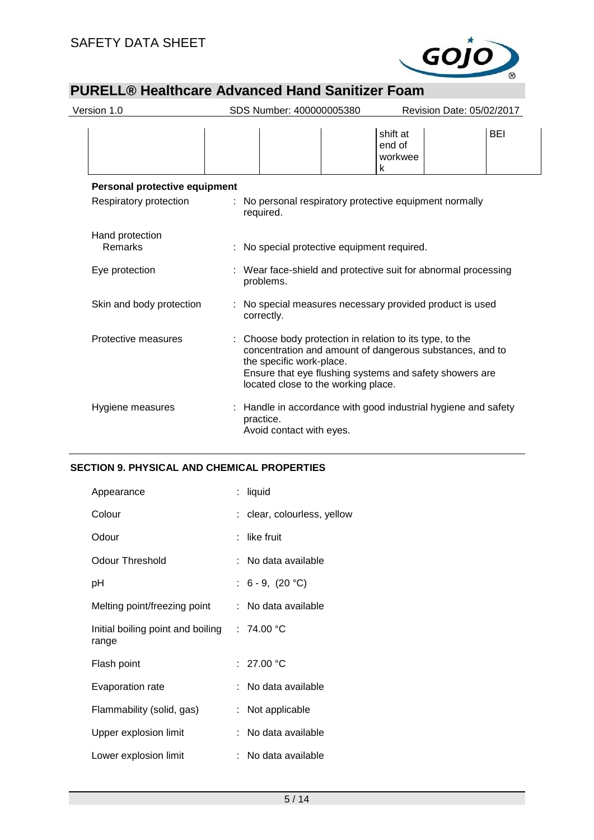

| Version 1.0                   | SDS Number: 400000005380                                                                                                                                                                                                                         |                                    | Revision Date: 05/02/2017 |            |
|-------------------------------|--------------------------------------------------------------------------------------------------------------------------------------------------------------------------------------------------------------------------------------------------|------------------------------------|---------------------------|------------|
|                               |                                                                                                                                                                                                                                                  | shift at<br>end of<br>workwee<br>k |                           | <b>BEI</b> |
| Personal protective equipment |                                                                                                                                                                                                                                                  |                                    |                           |            |
| Respiratory protection        | : No personal respiratory protective equipment normally<br>required.                                                                                                                                                                             |                                    |                           |            |
| Hand protection<br>Remarks    | : No special protective equipment required.                                                                                                                                                                                                      |                                    |                           |            |
| Eye protection                | : Wear face-shield and protective suit for abnormal processing<br>problems.                                                                                                                                                                      |                                    |                           |            |
| Skin and body protection      | No special measures necessary provided product is used<br>correctly.                                                                                                                                                                             |                                    |                           |            |
| Protective measures           | Choose body protection in relation to its type, to the<br>concentration and amount of dangerous substances, and to<br>the specific work-place.<br>Ensure that eye flushing systems and safety showers are<br>located close to the working place. |                                    |                           |            |
| Hygiene measures              | : Handle in accordance with good industrial hygiene and safety<br>practice.<br>Avoid contact with eyes.                                                                                                                                          |                                    |                           |            |

# **SECTION 9. PHYSICAL AND CHEMICAL PROPERTIES**

| Appearance                                            | : liquid                    |
|-------------------------------------------------------|-----------------------------|
| Colour                                                | : clear, colourless, yellow |
| Odour                                                 | like fruit                  |
| Odour Threshold                                       | : No data available         |
| рH                                                    | : $6 - 9$ , $(20 °C)$       |
| Melting point/freezing point                          | : No data available         |
| Initial boiling point and boiling : 74.00 °C<br>range |                             |
| Flash point                                           | : $27.00 °C$                |
| Evaporation rate                                      | : No data available         |
| Flammability (solid, gas)                             | : Not applicable            |
| Upper explosion limit                                 | : No data available         |
| Lower explosion limit                                 | No data available           |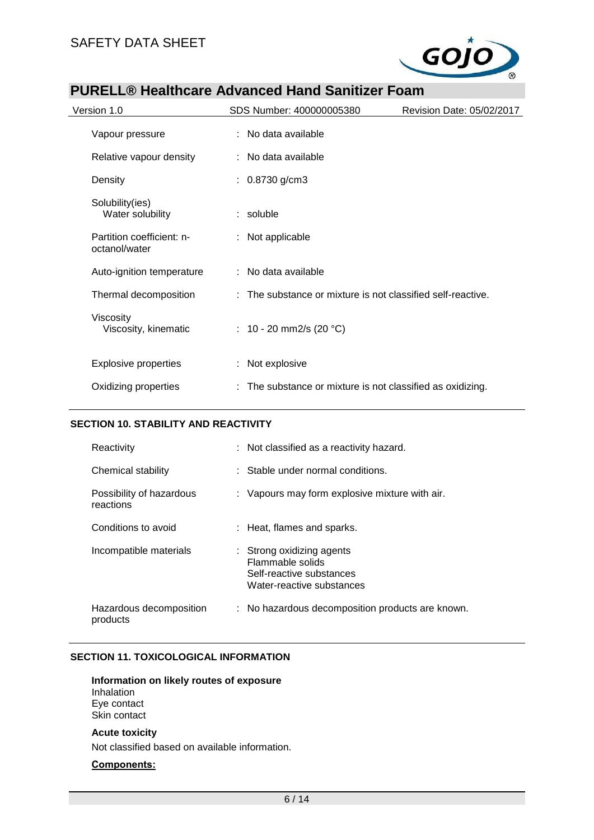

| Version 1.0                                | SDS Number: 400000005380                                    | Revision Date: 05/02/2017 |
|--------------------------------------------|-------------------------------------------------------------|---------------------------|
| Vapour pressure                            | : No data available                                         |                           |
| Relative vapour density                    | : No data available                                         |                           |
| Density                                    | : $0.8730$ g/cm3                                            |                           |
| Solubility(ies)<br>Water solubility        | $:$ soluble                                                 |                           |
| Partition coefficient: n-<br>octanol/water | : Not applicable                                            |                           |
| Auto-ignition temperature                  | : No data available                                         |                           |
| Thermal decomposition                      | : The substance or mixture is not classified self-reactive. |                           |
| Viscosity<br>Viscosity, kinematic          | : 10 - 20 mm2/s (20 $^{\circ}$ C)                           |                           |
| <b>Explosive properties</b>                | : Not explosive                                             |                           |
| Oxidizing properties                       | The substance or mixture is not classified as oxidizing.    |                           |
|                                            |                                                             |                           |

## **SECTION 10. STABILITY AND REACTIVITY**

| Reactivity                            | : Not classified as a reactivity hazard.                                                               |
|---------------------------------------|--------------------------------------------------------------------------------------------------------|
| Chemical stability                    | : Stable under normal conditions.                                                                      |
| Possibility of hazardous<br>reactions | : Vapours may form explosive mixture with air.                                                         |
| Conditions to avoid                   | : Heat, flames and sparks.                                                                             |
| Incompatible materials                | : Strong oxidizing agents<br>Flammable solids<br>Self-reactive substances<br>Water-reactive substances |
| Hazardous decomposition<br>products   | : No hazardous decomposition products are known.                                                       |

### **SECTION 11. TOXICOLOGICAL INFORMATION**

**Information on likely routes of exposure** Inhalation Eye contact Skin contact

#### **Acute toxicity**

Not classified based on available information.

## **Components:**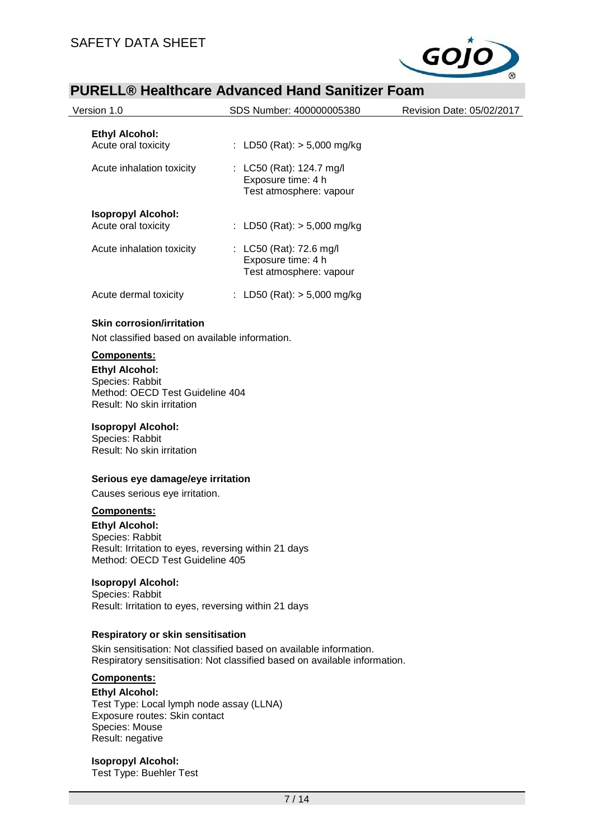

|                                                                                                                                                                                         | PURELL® Healtncare Advanced Hand Sanitizer Foam                                                                                                 |                           |
|-----------------------------------------------------------------------------------------------------------------------------------------------------------------------------------------|-------------------------------------------------------------------------------------------------------------------------------------------------|---------------------------|
| Version 1.0                                                                                                                                                                             | SDS Number: 400000005380                                                                                                                        | Revision Date: 05/02/2017 |
| <b>Ethyl Alcohol:</b><br>Acute oral toxicity                                                                                                                                            | : LD50 (Rat): > 5,000 mg/kg                                                                                                                     |                           |
| Acute inhalation toxicity                                                                                                                                                               | : LC50 (Rat): 124.7 mg/l<br>Exposure time: 4 h<br>Test atmosphere: vapour                                                                       |                           |
| <b>Isopropyl Alcohol:</b><br>Acute oral toxicity                                                                                                                                        | : LD50 (Rat): $> 5,000$ mg/kg                                                                                                                   |                           |
| Acute inhalation toxicity                                                                                                                                                               | : LC50 (Rat): 72.6 mg/l<br>Exposure time: 4 h<br>Test atmosphere: vapour                                                                        |                           |
| Acute dermal toxicity                                                                                                                                                                   | : LD50 (Rat): $> 5,000$ mg/kg                                                                                                                   |                           |
| <b>Skin corrosion/irritation</b>                                                                                                                                                        |                                                                                                                                                 |                           |
| Not classified based on available information.                                                                                                                                          |                                                                                                                                                 |                           |
| Components:                                                                                                                                                                             |                                                                                                                                                 |                           |
| <b>Ethyl Alcohol:</b><br>Species: Rabbit<br>Method: OECD Test Guideline 404<br>Result: No skin irritation<br><b>Isopropyl Alcohol:</b><br>Species: Rabbit<br>Result: No skin irritation |                                                                                                                                                 |                           |
| Serious eye damage/eye irritation                                                                                                                                                       |                                                                                                                                                 |                           |
| Causes serious eye irritation.                                                                                                                                                          |                                                                                                                                                 |                           |
| Components:<br><b>Ethyl Alcohol:</b><br>Species: Rabbit<br>Result: Irritation to eyes, reversing within 21 days<br>Method: OECD Test Guideline 405                                      |                                                                                                                                                 |                           |
| <b>Isopropyl Alcohol:</b><br>Species: Rabbit<br>Result: Irritation to eyes, reversing within 21 days                                                                                    |                                                                                                                                                 |                           |
| <b>Respiratory or skin sensitisation</b>                                                                                                                                                |                                                                                                                                                 |                           |
|                                                                                                                                                                                         | Skin sensitisation: Not classified based on available information.<br>Respiratory sensitisation: Not classified based on available information. |                           |
| Components:                                                                                                                                                                             |                                                                                                                                                 |                           |
| <b>Ethyl Alcohol:</b><br>Test Type: Local lymph node assay (LLNA)<br>Exposure routes: Skin contact<br>Species: Mouse<br>Result: negative                                                |                                                                                                                                                 |                           |

**Isopropyl Alcohol:** Test Type: Buehler Test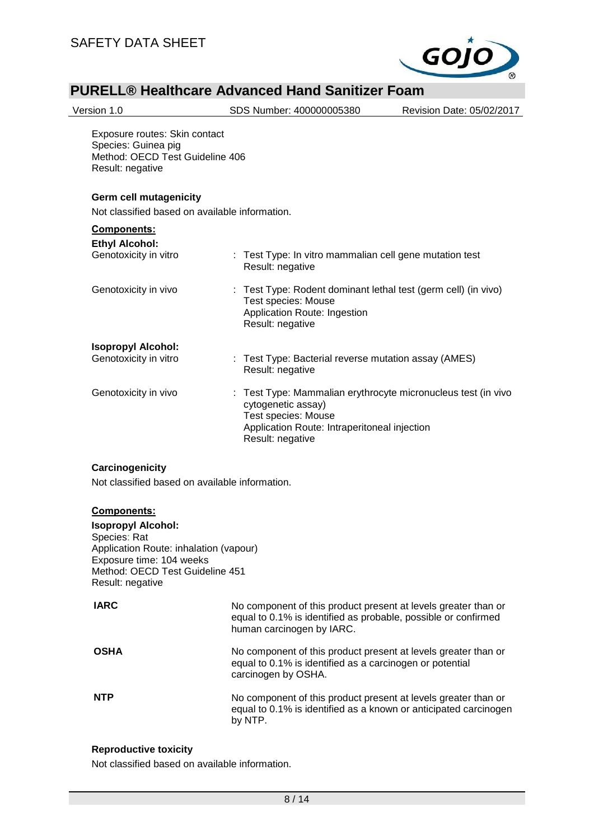

| Version 1.0                                                                                                 | SDS Number: 400000005380                                                                                                                                                     | Revision Date: 05/02/2017 |
|-------------------------------------------------------------------------------------------------------------|------------------------------------------------------------------------------------------------------------------------------------------------------------------------------|---------------------------|
| Exposure routes: Skin contact<br>Species: Guinea pig<br>Method: OECD Test Guideline 406<br>Result: negative |                                                                                                                                                                              |                           |
| <b>Germ cell mutagenicity</b><br>Not classified based on available information.                             |                                                                                                                                                                              |                           |
| Components:                                                                                                 |                                                                                                                                                                              |                           |
| <b>Ethyl Alcohol:</b><br>Genotoxicity in vitro                                                              | : Test Type: In vitro mammalian cell gene mutation test<br>Result: negative                                                                                                  |                           |
| Genotoxicity in vivo                                                                                        | : Test Type: Rodent dominant lethal test (germ cell) (in vivo)<br>Test species: Mouse<br>Application Route: Ingestion<br>Result: negative                                    |                           |
| <b>Isopropyl Alcohol:</b>                                                                                   |                                                                                                                                                                              |                           |
| Genotoxicity in vitro                                                                                       | : Test Type: Bacterial reverse mutation assay (AMES)<br>Result: negative                                                                                                     |                           |
| Genotoxicity in vivo                                                                                        | Test Type: Mammalian erythrocyte micronucleus test (in vivo<br>cytogenetic assay)<br>Test species: Mouse<br>Application Route: Intraperitoneal injection<br>Result: negative |                           |
| Carcinogenicity<br>Not classified based on available information.                                           |                                                                                                                                                                              |                           |
|                                                                                                             |                                                                                                                                                                              |                           |

**Components: Isopropyl Alcohol:** Species: Rat Application Route: inhalation (vapour) Exposure time: 104 weeks Method: OECD Test Guideline 451 Result: negative

| IARC        | No component of this product present at levels greater than or<br>equal to 0.1% is identified as probable, possible or confirmed<br>human carcinogen by IARC. |
|-------------|---------------------------------------------------------------------------------------------------------------------------------------------------------------|
| <b>OSHA</b> | No component of this product present at levels greater than or<br>equal to 0.1% is identified as a carcinogen or potential<br>carcinogen by OSHA.             |
| <b>NTP</b>  | No component of this product present at levels greater than or<br>equal to 0.1% is identified as a known or anticipated carcinogen<br>by NTP.                 |

## **Reproductive toxicity**

Not classified based on available information.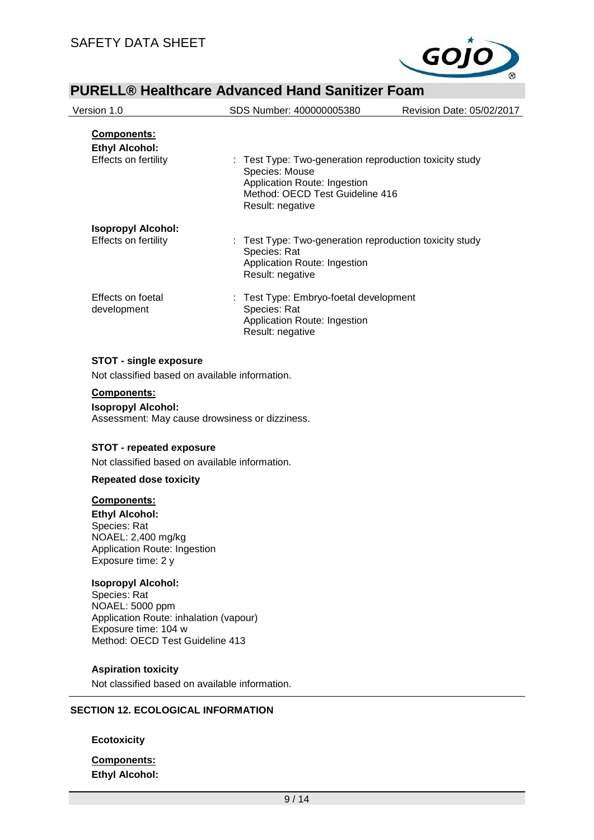

|                                                                                                                                                                   | SDS Number: 400000005380                                                                                                                                         | Revision Date: 05/02/2017 |
|-------------------------------------------------------------------------------------------------------------------------------------------------------------------|------------------------------------------------------------------------------------------------------------------------------------------------------------------|---------------------------|
| Components:<br><b>Ethyl Alcohol:</b><br>Effects on fertility                                                                                                      | : Test Type: Two-generation reproduction toxicity study<br>Species: Mouse<br>Application Route: Ingestion<br>Method: OECD Test Guideline 416<br>Result: negative |                           |
| <b>Isopropyl Alcohol:</b><br>Effects on fertility                                                                                                                 | : Test Type: Two-generation reproduction toxicity study<br>Species: Rat<br>Application Route: Ingestion<br>Result: negative                                      |                           |
| Effects on foetal<br>development                                                                                                                                  | : Test Type: Embryo-foetal development<br>Species: Rat<br>Application Route: Ingestion<br>Result: negative                                                       |                           |
| <b>STOT - single exposure</b><br>Not classified based on available information.                                                                                   |                                                                                                                                                                  |                           |
| Components:<br><b>Isopropyl Alcohol:</b><br>Assessment: May cause drowsiness or dizziness.<br><b>STOT - repeated exposure</b>                                     |                                                                                                                                                                  |                           |
|                                                                                                                                                                   |                                                                                                                                                                  |                           |
| Not classified based on available information.                                                                                                                    |                                                                                                                                                                  |                           |
| <b>Repeated dose toxicity</b><br>Components:<br><b>Ethyl Alcohol:</b><br>Species: Rat<br>NOAEL: 2,400 mg/kg<br>Application Route: Ingestion<br>Exposure time: 2 y |                                                                                                                                                                  |                           |
| <b>Isopropyl Alcohol:</b><br>Species: Rat<br>NOAEL: 5000 ppm<br>Application Route: inhalation (vapour)<br>Exposure time: 104 w<br>Method: OECD Test Guideline 413 |                                                                                                                                                                  |                           |

**Components: Ethyl Alcohol:**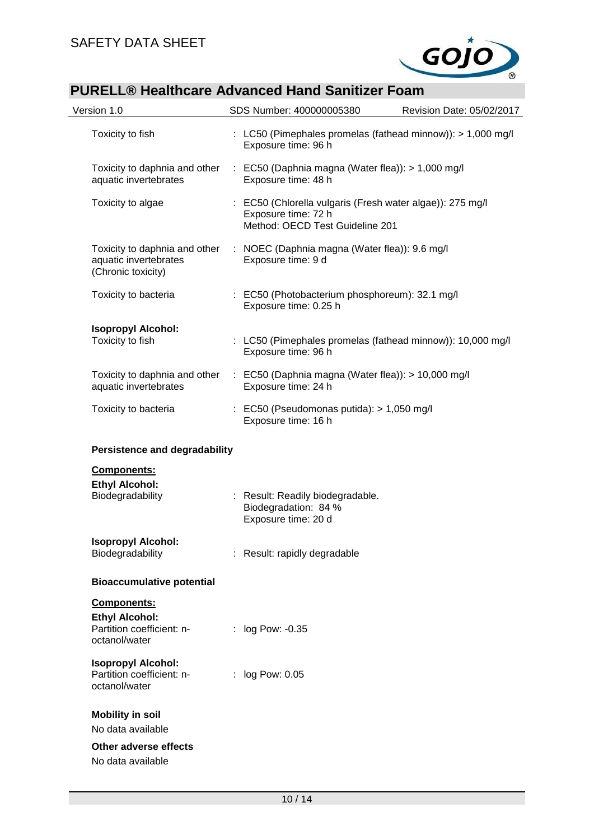

| Version 1.0                                                                               | SDS Number: 400000005380                                                                                            | Revision Date: 05/02/2017 |
|-------------------------------------------------------------------------------------------|---------------------------------------------------------------------------------------------------------------------|---------------------------|
| Toxicity to fish                                                                          | : LC50 (Pimephales promelas (fathead minnow)): > 1,000 mg/l<br>Exposure time: 96 h                                  |                           |
| Toxicity to daphnia and other<br>aquatic invertebrates                                    | : EC50 (Daphnia magna (Water flea)): > 1,000 mg/l<br>Exposure time: 48 h                                            |                           |
| Toxicity to algae                                                                         | : EC50 (Chlorella vulgaris (Fresh water algae)): 275 mg/l<br>Exposure time: 72 h<br>Method: OECD Test Guideline 201 |                           |
| Toxicity to daphnia and other<br>aquatic invertebrates<br>(Chronic toxicity)              | : NOEC (Daphnia magna (Water flea)): 9.6 mg/l<br>Exposure time: 9 d                                                 |                           |
| Toxicity to bacteria                                                                      | : EC50 (Photobacterium phosphoreum): 32.1 mg/l<br>Exposure time: 0.25 h                                             |                           |
| <b>Isopropyl Alcohol:</b><br>Toxicity to fish                                             | : LC50 (Pimephales promelas (fathead minnow)): 10,000 mg/l<br>Exposure time: 96 h                                   |                           |
| Toxicity to daphnia and other<br>aquatic invertebrates                                    | : EC50 (Daphnia magna (Water flea)): $> 10,000$ mg/l<br>Exposure time: 24 h                                         |                           |
| Toxicity to bacteria                                                                      | $\therefore$ EC50 (Pseudomonas putida): > 1,050 mg/l<br>Exposure time: 16 h                                         |                           |
| <b>Persistence and degradability</b>                                                      |                                                                                                                     |                           |
| Components:<br><b>Ethyl Alcohol:</b><br>Biodegradability                                  | : Result: Readily biodegradable.<br>Biodegradation: 84 %<br>Exposure time: 20 d                                     |                           |
| <b>Isopropyl Alcohol:</b><br>Biodegradability                                             | : Result: rapidly degradable                                                                                        |                           |
| <b>Bioaccumulative potential</b>                                                          |                                                                                                                     |                           |
| <b>Components:</b><br><b>Ethyl Alcohol:</b><br>Partition coefficient: n-<br>octanol/water | : log Pow: -0.35                                                                                                    |                           |
| <b>Isopropyl Alcohol:</b><br>Partition coefficient: n-<br>octanol/water                   | : log Pow: 0.05                                                                                                     |                           |
| <b>Mobility in soil</b><br>No data available                                              |                                                                                                                     |                           |
| Other adverse effects<br>No data available                                                |                                                                                                                     |                           |
|                                                                                           |                                                                                                                     |                           |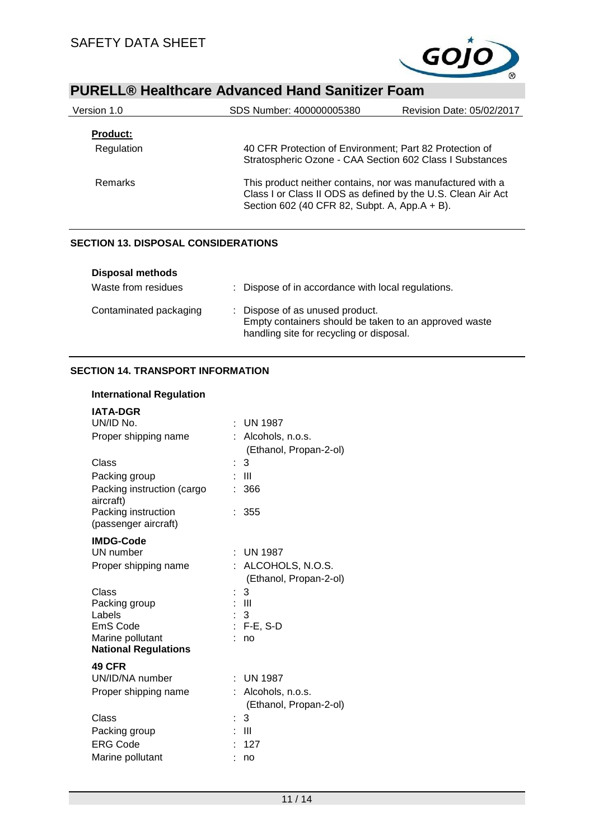

| Version 1.0     | SDS Number: 400000005380                                                                                                                                                    | Revision Date: 05/02/2017 |
|-----------------|-----------------------------------------------------------------------------------------------------------------------------------------------------------------------------|---------------------------|
| <b>Product:</b> |                                                                                                                                                                             |                           |
| Regulation      | 40 CFR Protection of Environment; Part 82 Protection of<br>Stratospheric Ozone - CAA Section 602 Class I Substances                                                         |                           |
| <b>Remarks</b>  | This product neither contains, nor was manufactured with a<br>Class I or Class II ODS as defined by the U.S. Clean Air Act<br>Section 602 (40 CFR 82, Subpt. A, App.A + B). |                           |

## **SECTION 13. DISPOSAL CONSIDERATIONS**

| Disposal methods       |                                                                                                                                      |
|------------------------|--------------------------------------------------------------------------------------------------------------------------------------|
| Waste from residues    | : Dispose of in accordance with local regulations.                                                                                   |
| Contaminated packaging | : Dispose of as unused product.<br>Empty containers should be taken to an approved waste<br>handling site for recycling or disposal. |

## **SECTION 14. TRANSPORT INFORMATION**

| <b>International Regulation</b>                 |                                            |
|-------------------------------------------------|--------------------------------------------|
| <b>IATA-DGR</b>                                 |                                            |
| UN/ID No.                                       | UN 1987                                    |
| Proper shipping name                            | : Alcohols, n.o.s.                         |
|                                                 | (Ethanol, Propan-2-ol)                     |
| Class                                           | 3                                          |
| Packing group                                   | $\mathbf{III}$                             |
| Packing instruction (cargo<br>aircraft)         | 366                                        |
| Packing instruction<br>(passenger aircraft)     | 355                                        |
| <b>IMDG-Code</b>                                |                                            |
| UN number                                       | $\pm$ UN 1987                              |
| Proper shipping name                            | ALCOHOLS, N.O.S.                           |
|                                                 | (Ethanol, Propan-2-ol)                     |
| Class                                           | 3                                          |
| Packing group                                   | - 111                                      |
| Labels                                          | -3                                         |
| <b>EmS Code</b>                                 | $F-E$ , S-D                                |
| Marine pollutant<br><b>National Regulations</b> | no                                         |
|                                                 |                                            |
| <b>49 CFR</b>                                   |                                            |
| UN/ID/NA number                                 | UN 1987                                    |
| Proper shipping name                            | Alcohols, n.o.s.<br>(Ethanol, Propan-2-ol) |
| Class                                           | 3                                          |
| Packing group                                   | -III                                       |
| <b>ERG Code</b>                                 | 127                                        |
| Marine pollutant                                | no                                         |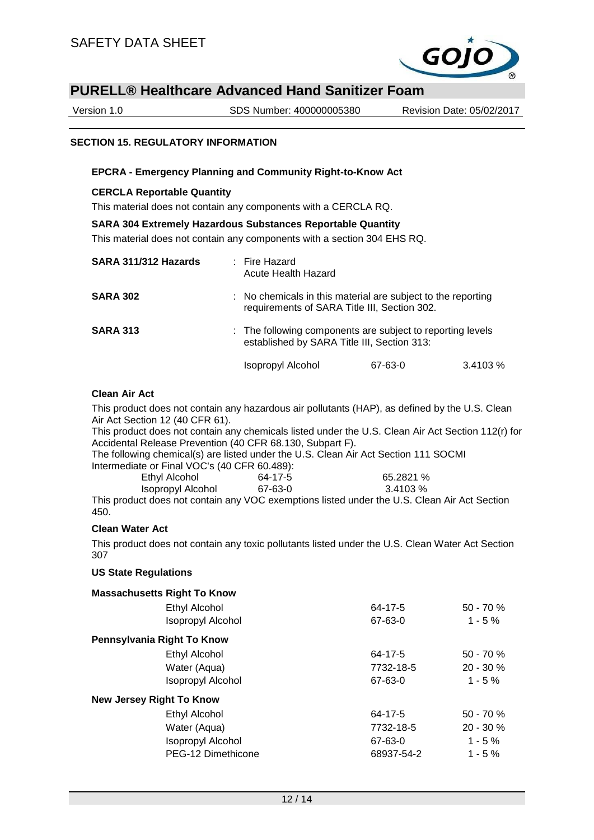

Version 1.0 SDS Number: 400000005380 Revision Date: 05/02/2017

### **SECTION 15. REGULATORY INFORMATION**

### **EPCRA - Emergency Planning and Community Right-to-Know Act**

#### **CERCLA Reportable Quantity**

This material does not contain any components with a CERCLA RQ.

### **SARA 304 Extremely Hazardous Substances Reportable Quantity**

This material does not contain any components with a section 304 EHS RQ.

| SARA 311/312 Hazards | : Fire Hazard<br>Acute Health Hazard                                                                      |                                                                                                              |  |
|----------------------|-----------------------------------------------------------------------------------------------------------|--------------------------------------------------------------------------------------------------------------|--|
| <b>SARA 302</b>      |                                                                                                           | : No chemicals in this material are subject to the reporting<br>requirements of SARA Title III, Section 302. |  |
| <b>SARA 313</b>      | : The following components are subject to reporting levels<br>established by SARA Title III, Section 313: |                                                                                                              |  |
|                      | Isopropyl Alcohol<br>67-63-0                                                                              | 3.4103%                                                                                                      |  |

### **Clean Air Act**

This product does not contain any hazardous air pollutants (HAP), as defined by the U.S. Clean Air Act Section 12 (40 CFR 61).

This product does not contain any chemicals listed under the U.S. Clean Air Act Section 112(r) for Accidental Release Prevention (40 CFR 68.130, Subpart F).

The following chemical(s) are listed under the U.S. Clean Air Act Section 111 SOCMI Intermediate or Final VOC's (40 CFR 60.489):

| Ethyl Alcohol     | 64-17-5 | 65.2821 % |
|-------------------|---------|-----------|
| Isopropyl Alcohol | 67-63-0 | 3.4103 %  |

This product does not contain any VOC exemptions listed under the U.S. Clean Air Act Section 450.

## **Clean Water Act**

This product does not contain any toxic pollutants listed under the U.S. Clean Water Act Section 307

#### **US State Regulations**

| <b>Massachusetts Right To Know</b> |            |              |
|------------------------------------|------------|--------------|
| Ethyl Alcohol                      | 64-17-5    | $50 - 70%$   |
| <b>Isopropyl Alcohol</b>           | 67-63-0    | $1 - 5 \%$   |
| Pennsylvania Right To Know         |            |              |
| Ethyl Alcohol                      | 64-17-5    | $50 - 70 \%$ |
| Water (Aqua)                       | 7732-18-5  | $20 - 30 \%$ |
| <b>Isopropyl Alcohol</b>           | 67-63-0    | $1 - 5 \%$   |
| <b>New Jersey Right To Know</b>    |            |              |
| <b>Ethyl Alcohol</b>               | 64-17-5    | $50 - 70%$   |
| Water (Aqua)                       | 7732-18-5  | $20 - 30 \%$ |
| <b>Isopropyl Alcohol</b>           | 67-63-0    | $1 - 5%$     |
| PEG-12 Dimethicone                 | 68937-54-2 | $1 - 5 \%$   |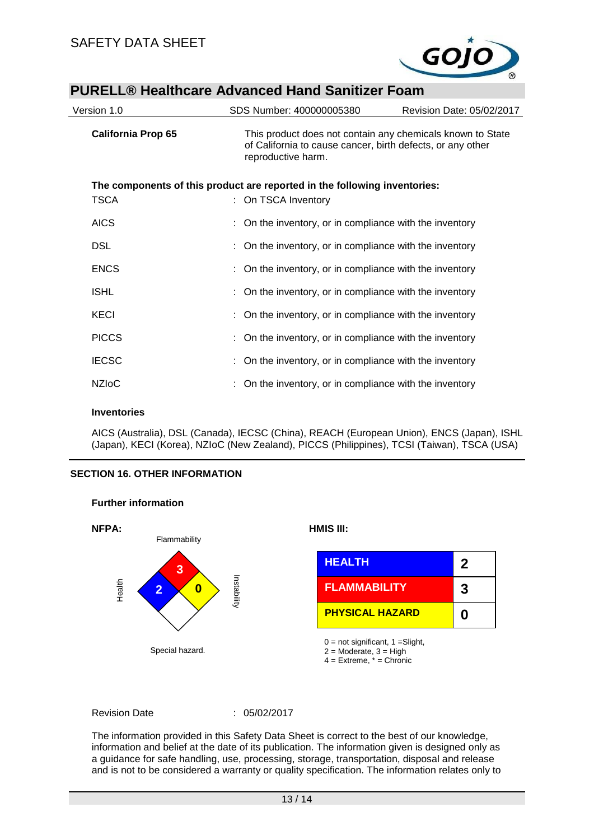

| Version 1.0                                                               | SDS Number: 400000005380                                                                                                                       | Revision Date: 05/02/2017 |  |  |
|---------------------------------------------------------------------------|------------------------------------------------------------------------------------------------------------------------------------------------|---------------------------|--|--|
| <b>California Prop 65</b>                                                 | This product does not contain any chemicals known to State<br>of California to cause cancer, birth defects, or any other<br>reproductive harm. |                           |  |  |
| The components of this product are reported in the following inventories: |                                                                                                                                                |                           |  |  |
| <b>TSCA</b>                                                               | : On TSCA Inventory                                                                                                                            |                           |  |  |
| <b>AICS</b>                                                               | : On the inventory, or in compliance with the inventory                                                                                        |                           |  |  |
| <b>DSL</b>                                                                | : On the inventory, or in compliance with the inventory                                                                                        |                           |  |  |
| <b>ENCS</b>                                                               | : On the inventory, or in compliance with the inventory                                                                                        |                           |  |  |
| <b>ISHL</b>                                                               | : On the inventory, or in compliance with the inventory                                                                                        |                           |  |  |
| <b>KECI</b>                                                               | : On the inventory, or in compliance with the inventory                                                                                        |                           |  |  |
| <b>PICCS</b>                                                              | : On the inventory, or in compliance with the inventory                                                                                        |                           |  |  |
| <b>IECSC</b>                                                              | : On the inventory, or in compliance with the inventory                                                                                        |                           |  |  |
| <b>NZIOC</b>                                                              | : On the inventory, or in compliance with the inventory                                                                                        |                           |  |  |

### **Inventories**

AICS (Australia), DSL (Canada), IECSC (China), REACH (European Union), ENCS (Japan), ISHL (Japan), KECI (Korea), NZIoC (New Zealand), PICCS (Philippines), TCSI (Taiwan), TSCA (USA)

## **SECTION 16. OTHER INFORMATION**



### **Further information**

Revision Date : 05/02/2017

The information provided in this Safety Data Sheet is correct to the best of our knowledge, information and belief at the date of its publication. The information given is designed only as a guidance for safe handling, use, processing, storage, transportation, disposal and release and is not to be considered a warranty or quality specification. The information relates only to